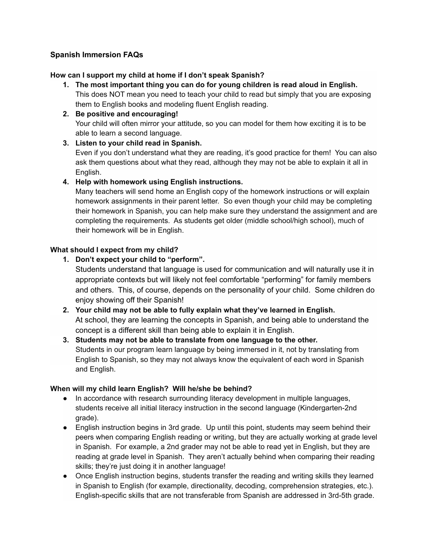## **Spanish Immersion FAQs**

### **How can I support my child at home if I don't speak Spanish?**

- **1. The most important thing you can do for young children is read aloud in English.** This does NOT mean you need to teach your child to read but simply that you are exposing them to English books and modeling fluent English reading.
- **2. Be positive and encouraging!** Your child will often mirror your attitude, so you can model for them how exciting it is to be able to learn a second language.
- **3. Listen to your child read in Spanish.**

Even if you don't understand what they are reading, it's good practice for them! You can also ask them questions about what they read, although they may not be able to explain it all in English.

### **4. Help with homework using English instructions.**

Many teachers will send home an English copy of the homework instructions or will explain homework assignments in their parent letter. So even though your child may be completing their homework in Spanish, you can help make sure they understand the assignment and are completing the requirements. As students get older (middle school/high school), much of their homework will be in English.

### **What should I expect from my child?**

**1. Don't expect your child to "perform".**

Students understand that language is used for communication and will naturally use it in appropriate contexts but will likely not feel comfortable "performing" for family members and others. This, of course, depends on the personality of your child. Some children do enjoy showing off their Spanish!

- **2. Your child may not be able to fully explain what they've learned in English.** At school, they are learning the concepts in Spanish, and being able to understand the concept is a different skill than being able to explain it in English.
- **3. Students may not be able to translate from one language to the other.** Students in our program learn language by being immersed in it, not by translating from English to Spanish, so they may not always know the equivalent of each word in Spanish and English.

#### **When will my child learn English? Will he/she be behind?**

- In accordance with research surrounding literacy development in multiple languages, students receive all initial literacy instruction in the second language (Kindergarten-2nd grade).
- English instruction begins in 3rd grade. Up until this point, students may seem behind their peers when comparing English reading or writing, but they are actually working at grade level in Spanish. For example, a 2nd grader may not be able to read yet in English, but they are reading at grade level in Spanish. They aren't actually behind when comparing their reading skills; they're just doing it in another language!
- Once English instruction begins, students transfer the reading and writing skills they learned in Spanish to English (for example, directionality, decoding, comprehension strategies, etc.). English-specific skills that are not transferable from Spanish are addressed in 3rd-5th grade.